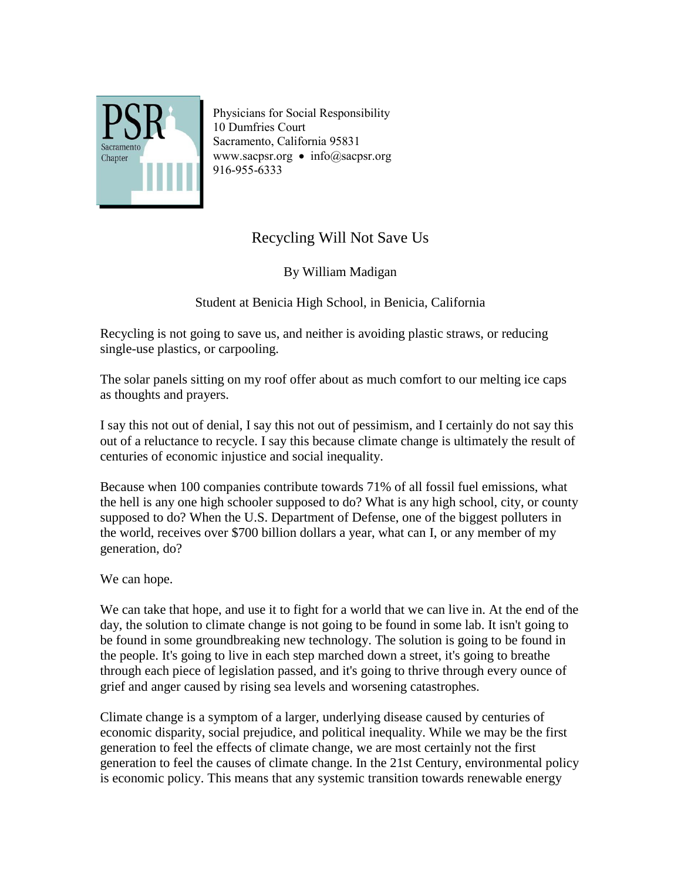

Physicians for Social Responsibility 10 Dumfries Court Sacramento, California 95831 [www.sacpsr.org](http://www.sacpsr.org/) • info@sacpsr.org 916-955-6333

## Recycling Will Not Save Us

By William Madigan

Student at Benicia High School, in Benicia, California

Recycling is not going to save us, and neither is avoiding plastic straws, or reducing single-use plastics, or carpooling.

The solar panels sitting on my roof offer about as much comfort to our melting ice caps as thoughts and prayers.

I say this not out of denial, I say this not out of pessimism, and I certainly do not say this out of a reluctance to recycle. I say this because climate change is ultimately the result of centuries of economic injustice and social inequality.

Because when 100 companies contribute towards 71% of all fossil fuel emissions, what the hell is any one high schooler supposed to do? What is any high school, city, or county supposed to do? When the U.S. Department of Defense, one of the biggest polluters in the world, receives over \$700 billion dollars a year, what can I, or any member of my generation, do?

We can hope.

We can take that hope, and use it to fight for a world that we can live in. At the end of the day, the solution to climate change is not going to be found in some lab. It isn't going to be found in some groundbreaking new technology. The solution is going to be found in the people. It's going to live in each step marched down a street, it's going to breathe through each piece of legislation passed, and it's going to thrive through every ounce of grief and anger caused by rising sea levels and worsening catastrophes.

Climate change is a symptom of a larger, underlying disease caused by centuries of economic disparity, social prejudice, and political inequality. While we may be the first generation to feel the effects of climate change, we are most certainly not the first generation to feel the causes of climate change. In the 21st Century, environmental policy is economic policy. This means that any systemic transition towards renewable energy